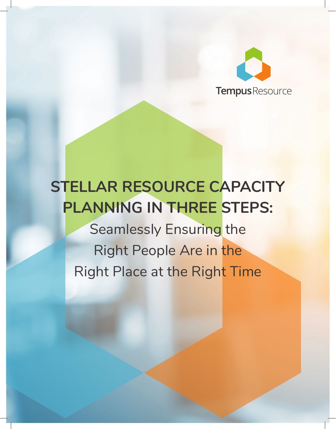

# **STELLAR RESOURCE CAPACITY PLANNING IN THREE STEPS:**

Seamlessly Ensuring the Right People Are in the Right Place at the Right Time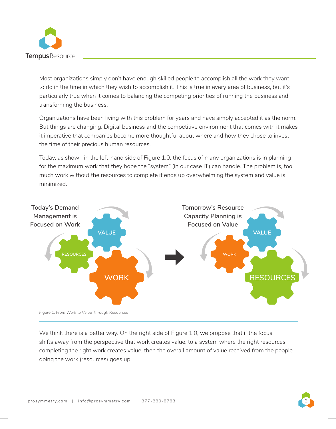

Most organizations simply don't have enough skilled people to accomplish all the work they want to do in the time in which they wish to accomplish it. This is true in every area of business, but it's particularly true when it comes to balancing the competing priorities of running the business and transforming the business.

Organizations have been living with this problem for years and have simply accepted it as the norm. But things are changing. Digital business and the competitive environment that comes with it makes it imperative that companies become more thoughtful about where and how they chose to invest the time of their precious human resources.

Today, as shown in the left-hand side of Figure 1.0, the focus of many organizations is in planning for the maximum work that they hope the "system" (in our case IT) can handle. The problem is, too much work without the resources to complete it ends up overwhelming the system and value is minimized.



*Figure 1: From Work to Value Through Resources*

We think there is a better way. On the right side of Figure 1.0, we propose that if the focus shifts away from the perspective that work creates value, to a system where the right resources completing the right work creates value, then the overall amount of value received from the people doing the work (resources) goes up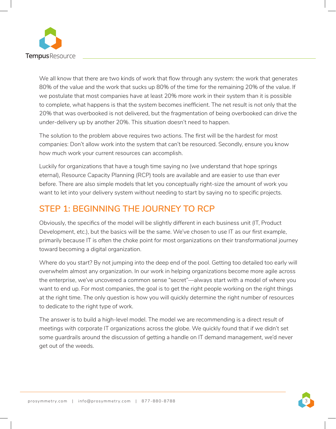

We all know that there are two kinds of work that flow through any system: the work that generates 80% of the value and the work that sucks up 80% of the time for the remaining 20% of the value. If we postulate that most companies have at least 20% more work in their system than it is possible to complete, what happens is that the system becomes inefficient. The net result is not only that the 20% that was overbooked is not delivered, but the fragmentation of being overbooked can drive the under-delivery up by another 20%. This situation doesn't need to happen.

The solution to the problem above requires two actions. The first will be the hardest for most companies: Don't allow work into the system that can't be resourced. Secondly, ensure you know how much work your current resources can accomplish.

Luckily for organizations that have a tough time saying no (we understand that hope springs eternal), Resource Capacity Planning (RCP) tools are available and are easier to use than ever before. There are also simple models that let you conceptually right-size the amount of work you want to let into your delivery system without needing to start by saying no to specific projects.

# **STEP 1: BEGINNING THE JOURNEY TO RCP**

Obviously, the specifics of the model will be slightly different in each business unit (IT, Product Development, etc.), but the basics will be the same. We've chosen to use IT as our first example, primarily because IT is often the choke point for most organizations on their transformational journey toward becoming a digital organization.

Where do you start? By not jumping into the deep end of the pool. Getting too detailed too early will overwhelm almost any organization. In our work in helping organizations become more agile across the enterprise, we've uncovered a common sense "secret"—always start with a model of where you want to end up. For most companies, the goal is to get the right people working on the right things at the right time. The only question is how you will quickly determine the right number of resources to dedicate to the right type of work.

The answer is to build a high-level model. The model we are recommending is a direct result of meetings with corporate IT organizations across the globe. We quickly found that if we didn't set some guardrails around the discussion of getting a handle on IT demand management, we'd never get out of the weeds.

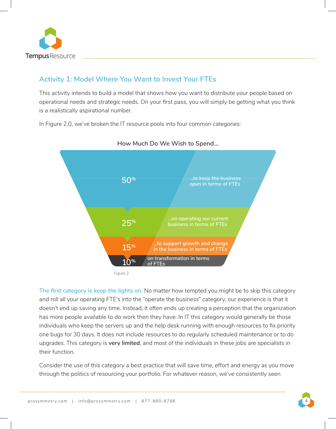

### **Activity 1: Model Where You Want to Invest Your FTEs**

This activity intends to build a model that shows how you want to distribute your people based on operational needs and strategic needs. On your first pass, you will simply be getting what you think is a realistically aspirational number.

In Figure 2.0, we've broken the IT resource pools into four common categories:



#### **How Much Do We Wish to Spend...**

*Figure 2*

**The first category is keep the lights on.** No matter how tempted you might be to skip this category and roll all your operating FTE's into the "operate the business" category, our experience is that it doesn't end up saving any time. Instead, it often ends up creating a perception that the organization has more people available to do work then they have. In IT this category would generally be those individuals who keep the servers up and the help desk running with enough resources to fix priority one bugs for 30 days. It does not include resources to do regularly scheduled maintenance or to do upgrades. This category is **very limited**, and most of the individuals in these jobs are specialists in their function.

Consider the use of this category a best practice that will save time, effort and energy as you move through the politics of resourcing your portfolio. For whatever reason, we've consistently seen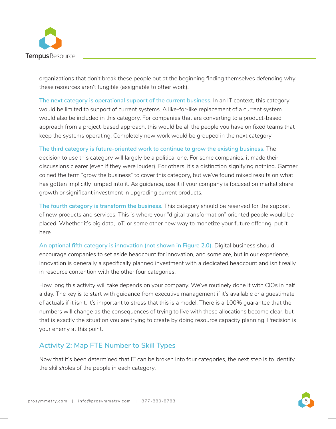

organizations that don't break these people out at the beginning finding themselves defending why these resources aren't fungible (assignable to other work).

**The next category is operational support of the current business.** In an IT context, this category would be limited to support of current systems. A like-for-like replacement of a current system would also be included in this category. For companies that are converting to a product-based approach from a project-based approach, this would be all the people you have on fixed teams that keep the systems operating. Completely new work would be grouped in the next category.

**The third category is future-oriented work to continue to grow the existing business.** The decision to use this category will largely be a political one. For some companies, it made their discussions clearer (even if they were louder). For others, it's a distinction signifying nothing. Gartner coined the term "grow the business" to cover this category, but we've found mixed results on what has gotten implicitly lumped into it. As guidance, use it if your company is focused on market share growth or significant investment in upgrading current products.

**The fourth category is transform the business.** This category should be reserved for the support of new products and services. This is where your "digital transformation" oriented people would be placed. Whether it's big data, IoT, or some other new way to monetize your future offering, put it here.

**An optional fifth category is innovation (not shown in Figure 2.0).** Digital business should encourage companies to set aside headcount for innovation, and some are, but in our experience, innovation is generally a specifically planned investment with a dedicated headcount and isn't really in resource contention with the other four categories.

How long this activity will take depends on your company. We've routinely done it with CIOs in half a day. The key is to start with guidance from executive management if it's available or a guestimate of actuals if it isn't. It's important to stress that this is a model. There is a 100% guarantee that the numbers will change as the consequences of trying to live with these allocations become clear, but that is exactly the situation you are trying to create by doing resource capacity planning. Precision is your enemy at this point.

### **Activity 2: Map FTE Number to Skill Types**

Now that it's been determined that IT can be broken into four categories, the next step is to identify the skills/roles of the people in each category.

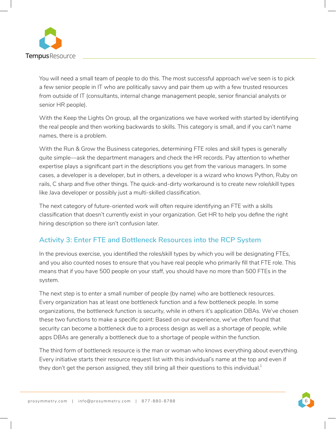

You will need a small team of people to do this. The most successful approach we've seen is to pick a few senior people in IT who are politically savvy and pair them up with a few trusted resources from outside of IT (consultants, internal change management people, senior financial analysts or senior HR people).

With the Keep the Lights On group, all the organizations we have worked with started by identifying the real people and then working backwards to skills. This category is small, and if you can't name names, there is a problem.

With the Run & Grow the Business categories, determining FTE roles and skill types is generally quite simple—ask the department managers and check the HR records. Pay attention to whether expertise plays a significant part in the descriptions you get from the various managers. In some cases, a developer is a developer, but in others, a developer is a wizard who knows Python, Ruby on rails, C sharp and five other things. The quick-and-dirty workaround is to create new role/skill types like Java developer or possibly just a multi-skilled classification.

The next category of future-oriented work will often require identifying an FTE with a skills classification that doesn't currently exist in your organization. Get HR to help you define the right hiring description so there isn't confusion later.

### **Activity 3: Enter FTE and Bottleneck Resources into the RCP System**

In the previous exercise, you identified the roles/skill types by which you will be designating FTEs, and you also counted noses to ensure that you have real people who primarily fill that FTE role. This means that if you have 500 people on your staff, you should have no more than 500 FTEs in the system.

The next step is to enter a small number of people (by name) who are bottleneck resources. Every organization has at least one bottleneck function and a few bottleneck people. In some organizations, the bottleneck function is security, while in others it's application DBAs. We've chosen these two functions to make a specific point: Based on our experience, we've often found that security can become a bottleneck due to a process design as well as a shortage of people, while apps DBAs are generally a bottleneck due to a shortage of people within the function.

The third form of bottleneck resource is the man or woman who knows everything about everything. Every initiative starts their resource request list with this individual's name at the top and even if they don't get the person assigned, they still bring all their questions to this individual. $^{\rm 1}$ 

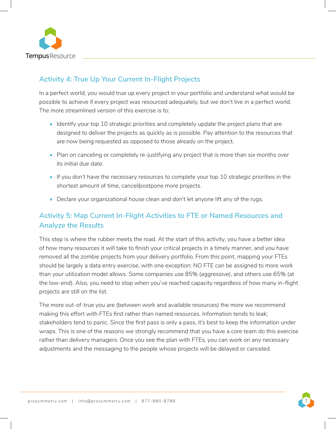

### **Activity 4: True Up Your Current In-Flight Projects**

In a perfect world, you would true up every project in your portfolio and understand what would be possible to achieve if every project was resourced adequately, but we don't live in a perfect world. The more streamlined version of this exercise is to:

- Identify your top 10 strategic priorities and completely update the project plans that are designed to deliver the projects as quickly as is possible. Pay attention to the resources that are now being requested as opposed to those already on the project.
- Plan on canceling or completely re-justifying any project that is more than six months over its initial due date.
- If you don't have the necessary resources to complete your top 10 strategic priorities in the shortest amount of time, cancel/postpone more projects.
- Declare your organizational house clean and don't let anyone lift any of the rugs.

### **Activity 5: Map Current In-Flight Activities to FTE or Named Resources and Analyze the Results**

This step is where the rubber meets the road. At the start of this activity, you have a better idea of how many resources it will take to finish your critical projects in a timely manner, and you have removed all the zombie projects from your delivery portfolio. From this point, mapping your FTEs should be largely a data entry exercise, with one exception: NO FTE can be assigned to more work than your utilization model allows. Some companies use 85% (aggressive), and others use 65% (at the low-end). Also, you need to stop when you've reached capacity regardless of how many in-flight projects are still on the list.

The more out-of-true you are (between work and available resources) the more we recommend making this effort with FTEs first rather than named resources. Information tends to leak; stakeholders tend to panic. Since the first pass is only a pass, it's best to keep the information under wraps. This is one of the reasons we strongly recommend that you have a core team do this exercise rather than delivery managers. Once you see the plan with FTEs, you can work on any necessary adjustments and the messaging to the people whose projects will be delayed or canceled.

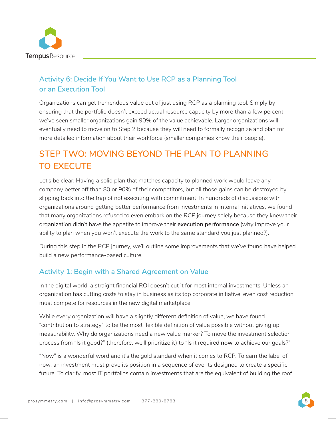

### **Activity 6: Decide If You Want to Use RCP as a Planning Tool or an Execution Tool**

Organizations can get tremendous value out of just using RCP as a planning tool. Simply by ensuring that the portfolio doesn't exceed actual resource capacity by more than a few percent, we've seen smaller organizations gain 90% of the value achievable. Larger organizations will eventually need to move on to Step 2 because they will need to formally recognize and plan for more detailed information about their workforce (smaller companies know their people).

# **STEP TWO: MOVING BEYOND THE PLAN TO PLANNING TO EXECUTE**

Let's be clear: Having a solid plan that matches capacity to planned work would leave any company better off than 80 or 90% of their competitors, but all those gains can be destroyed by slipping back into the trap of not executing with commitment. In hundreds of discussions with organizations around getting better performance from investments in internal initiatives, we found that many organizations refused to even embark on the RCP journey solely because they knew their organization didn't have the appetite to improve their **execution performance** (why improve your ability to plan when you won't execute the work to the same standard you just planned?).

During this step in the RCP journey, we'll outline some improvements that we've found have helped build a new performance-based culture.

### **Activity 1: Begin with a Shared Agreement on Value**

In the digital world, a straight financial ROI doesn't cut it for most internal investments. Unless an organization has cutting costs to stay in business as its top corporate initiative, even cost reduction must compete for resources in the new digital marketplace.

While every organization will have a slightly different definition of value, we have found "contribution to strategy" to be the most flexible definition of value possible without giving up measurability. Why do organizations need a new value marker? To move the investment selection process from "Is it good?" (therefore, we'll prioritize it) to "Is it required **now** to achieve our goals?"

"Now" is a wonderful word and it's the gold standard when it comes to RCP. To earn the label of now, an investment must prove its position in a sequence of events designed to create a specific future. To clarify, most IT portfolios contain investments that are the equivalent of building the roof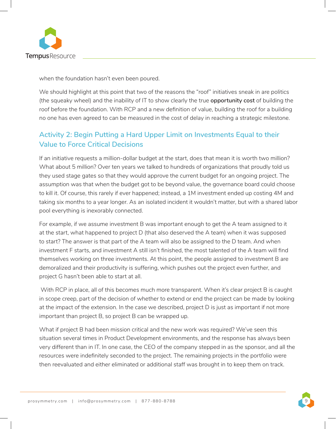

when the foundation hasn't even been poured.

We should highlight at this point that two of the reasons the "roof" initiatives sneak in are politics (the squeaky wheel) and the inability of IT to show clearly the true **opportunity cost** of building the roof before the foundation. With RCP and a new definition of value, building the roof for a building no one has even agreed to can be measured in the cost of delay in reaching a strategic milestone.

### **Activity 2: Begin Putting a Hard Upper Limit on Investments Equal to their Value to Force Critical Decisions**

If an initiative requests a million-dollar budget at the start, does that mean it is worth two million? What about 5 million? Over ten years we talked to hundreds of organizations that proudly told us they used stage gates so that they would approve the current budget for an ongoing project. The assumption was that when the budget got to be beyond value, the governance board could choose to kill it. Of course, this rarely if ever happened; instead, a 1M investment ended up costing 4M and taking six months to a year longer. As an isolated incident it wouldn't matter, but with a shared labor pool everything is inexorably connected.

For example, if we assume investment B was important enough to get the A team assigned to it at the start, what happened to project D (that also deserved the A team) when it was supposed to start? The answer is that part of the A team will also be assigned to the D team. And when investment F starts, and investment A still isn't finished, the most talented of the A team will find themselves working on three investments. At this point, the people assigned to investment B are demoralized and their productivity is suffering, which pushes out the project even further, and project G hasn't been able to start at all.

With RCP in place, all of this becomes much more transparent. When it's clear project B is caught in scope creep, part of the decision of whether to extend or end the project can be made by looking at the impact of the extension. In the case we described, project D is just as important if not more important than project B, so project B can be wrapped up.

What if project B had been mission critical and the new work was required? We've seen this situation several times in Product Development environments, and the response has always been very different than in IT. In one case, the CEO of the company stepped in as the sponsor, and all the resources were indefinitely seconded to the project. The remaining projects in the portfolio were then reevaluated and either eliminated or additional staff was brought in to keep them on track.



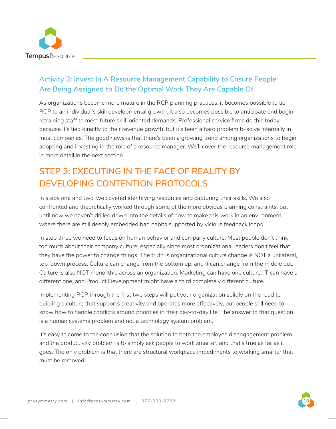

### **Activity 3: Invest In A Resource Management Capability to Ensure People Are Being Assigned to Do the Optimal Work They Are Capable Of**

As organizations become more mature in the RCP planning practices, it becomes possible to tie RCP to an individual's skill developmental growth. It also becomes possible to anticipate and begin retraining staff to meet future skill-oriented demands. Professional service firms do this today because it's tied directly to their revenue growth, but it's been a hard problem to solve internally in most companies. The good news is that there's been a growing trend among organizations to begin adopting and investing in the role of a resource manager. We'll cover the resource management role in more detail in the next section.

# **STEP 3: EXECUTING IN THE FACE OF REALITY BY DEVELOPING CONTENTION PROTOCOLS**

In steps one and two, we covered identifying resources and capturing their skills. We also confronted and theoretically worked through some of the more obvious planning constraints, but until now we haven't drilled down into the details of how to make this work in an environment where there are still deeply embedded bad habits supported by vicious feedback loops.

In step three we need to focus on human behavior and company culture. Most people don't think too much about their company culture, especially since most organizational leaders don't feel that they have the power to change things. The truth is organizational culture change is NOT a unilateral, top-down process. Culture can change from the bottom up, and it can change from the middle out. Culture is also NOT monolithic across an organization. Marketing can have one culture, IT can have a different one, and Product Development might have a third completely different culture.

Implementing RCP through the first two steps will put your organization solidly on the road to building a culture that supports creativity and operates more effectively, but people still need to know how to handle conflicts around priorities in their day-to-day life. The answer to that question is a human systems problem and not a technology system problem.

It's easy to come to the conclusion that the solution to both the employee disengagement problem and the productivity problem is to simply ask people to work smarter, and that's true as far as it goes. The only problem is that there are structural workplace impediments to working smarter that must be removed.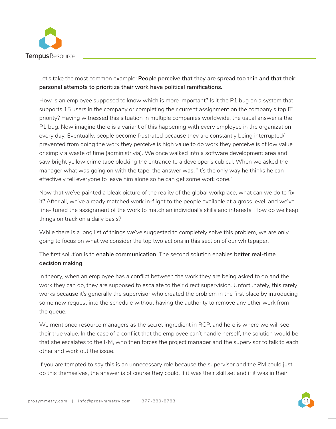

Let's take the most common example: **People perceive that they are spread too thin and that their personal attempts to prioritize their work have political ramifications.**

How is an employee supposed to know which is more important? Is it the P1 bug on a system that supports 15 users in the company or completing their current assignment on the company's top IT priority? Having witnessed this situation in multiple companies worldwide, the usual answer is the P1 bug. Now imagine there is a variant of this happening with every employee in the organization every day. Eventually, people become frustrated because they are constantly being interrupted/ prevented from doing the work they perceive is high value to do work they perceive is of low value or simply a waste of time (administrivia). We once walked into a software development area and saw bright yellow crime tape blocking the entrance to a developer's cubical. When we asked the manager what was going on with the tape, the answer was, "It's the only way he thinks he can effectively tell everyone to leave him alone so he can get some work done."

Now that we've painted a bleak picture of the reality of the global workplace, what can we do to fix it? After all, we've already matched work in-flight to the people available at a gross level, and we've fine- tuned the assignment of the work to match an individual's skills and interests. How do we keep things on track on a daily basis?

While there is a long list of things we've suggested to completely solve this problem, we are only going to focus on what we consider the top two actions in this section of our whitepaper.

The first solution is to **enable communication**. The second solution enables **better real-time decision making**.

In theory, when an employee has a conflict between the work they are being asked to do and the work they can do, they are supposed to escalate to their direct supervision. Unfortunately, this rarely works because it's generally the supervisor who created the problem in the first place by introducing some new request into the schedule without having the authority to remove any other work from the queue.

We mentioned resource managers as the secret ingredient in RCP, and here is where we will see their true value. In the case of a conflict that the employee can't handle herself, the solution would be that she escalates to the RM, who then forces the project manager and the supervisor to talk to each other and work out the issue.

If you are tempted to say this is an unnecessary role because the supervisor and the PM could just do this themselves, the answer is of course they could, if it was their skill set and if it was in their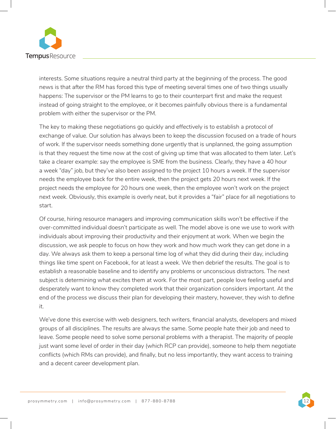

interests. Some situations require a neutral third party at the beginning of the process. The good news is that after the RM has forced this type of meeting several times one of two things usually happens: The supervisor or the PM learns to go to their counterpart first and make the request instead of going straight to the employee, or it becomes painfully obvious there is a fundamental problem with either the supervisor or the PM.

The key to making these negotiations go quickly and effectively is to establish a protocol of exchange of value. Our solution has always been to keep the discussion focused on a trade of hours of work. If the supervisor needs something done urgently that is unplanned, the going assumption is that they request the time now at the cost of giving up time that was allocated to them later. Let's take a clearer example: say the employee is SME from the business. Clearly, they have a 40 hour a week "day" job, but they've also been assigned to the project 10 hours a week. If the supervisor needs the employee back for the entire week, then the project gets 20 hours next week. If the project needs the employee for 20 hours one week, then the employee won't work on the project next week. Obviously, this example is overly neat, but it provides a "fair" place for all negotiations to start.

Of course, hiring resource managers and improving communication skills won't be effective if the over-committed individual doesn't participate as well. The model above is one we use to work with individuals about improving their productivity and their enjoyment at work. When we begin the discussion, we ask people to focus on how they work and how much work they can get done in a day. We always ask them to keep a personal time log of what they did during their day, including things like time spent on Facebook, for at least a week. We then debrief the results. The goal is to establish a reasonable baseline and to identify any problems or unconscious distractors. The next subject is determining what excites them at work. For the most part, people love feeling useful and desperately want to know they completed work that their organization considers important. At the end of the process we discuss their plan for developing their mastery, however, they wish to define it.

We've done this exercise with web designers, tech writers, financial analysts, developers and mixed groups of all disciplines. The results are always the same. Some people hate their job and need to leave. Some people need to solve some personal problems with a therapist. The majority of people just want some level of order in their day (which RCP can provide), someone to help them negotiate conflicts (which RMs can provide), and finally, but no less importantly, they want access to training and a decent career development plan.

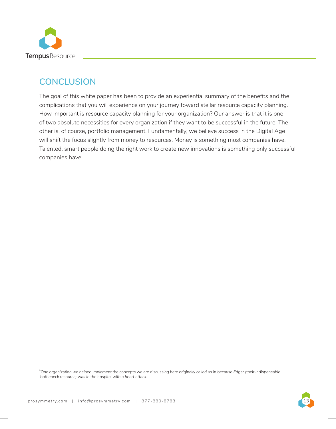

## **CONCLUSION**

The goal of this white paper has been to provide an experiential summary of the benefits and the complications that you will experience on your journey toward stellar resource capacity planning. How important is resource capacity planning for your organization? Our answer is that it is one of two absolute necessities for every organization if they want to be successful in the future. The other is, of course, portfolio management. Fundamentally, we believe success in the Digital Age will shift the focus slightly from money to resources. Money is something most companies have. Talented, smart people doing the right work to create new innovations is something only successful companies have.

<sup>1</sup>One organization we helped implement the concepts we are discussing here originally called us in because Edgar (their indispensable *bottleneck resource) was in the hospital with a heart attack.*